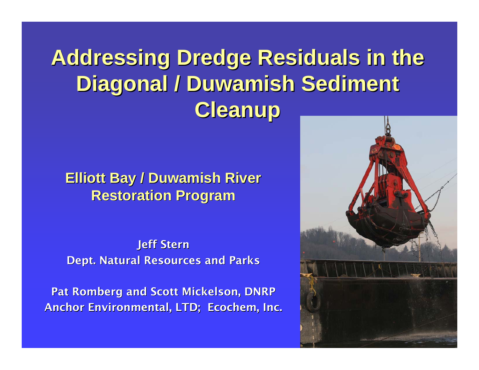### **Addressing Dredge Residuals in the Diagonal / Duwamish Sediment Cleanup Cleanup**

#### **Elliott Bay / Duwamish River Restoration Program Restoration Program**

**Jeff Stern** Dept. Natural Resources and Parks

Pat Romberg and Scott Mickelson, DNRP Anchor Environmental, LTD; Ecochem, Inc.

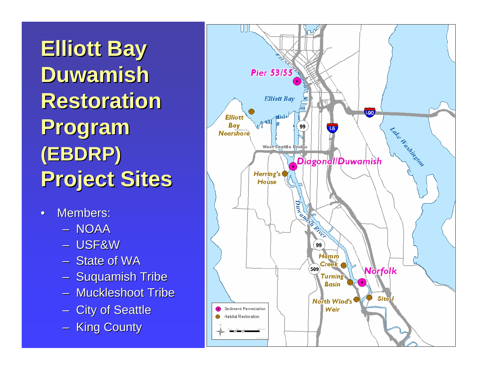**Elliott Bay Duwamish Duwamish Restoration Program Program (EBDRP) (EBDRP) Project Sites Project Sites**

- •Members:
	- NOAA
	- USF&W
	- State of WA
	- $\mathcal{L}_{\mathcal{A}}$ – Suquamish Tribe
	- Muckleshoot Tribe
	- $\mathcal{L}_{\mathcal{A}}$ – City of Seattle
	- $\sim$ – King County

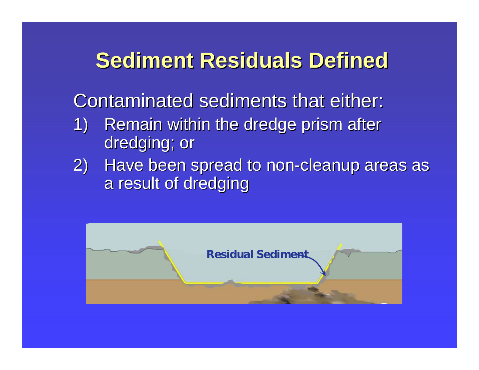### **Sediment Residuals Defined Sediment Residuals Defined**

Contaminated sediments that either:

- 1) Remain within the dredge prism after dredging; or
- 2) Have been spread to non-cleanup areas as a result of dredging

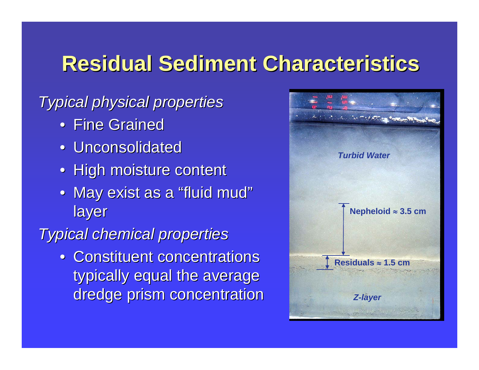### **Residual Sediment Characteristics Residual Sediment Characteristics**

#### *Typical physical properties Typical physical properties*

- Fine Grained
- Unconsolidated
- High moisture content
- May exist as a "fluid mud "layer

#### *Typical chemical properties Typical chemical properties*

• Constituent concentrations typically equal the average dredge prism concentration

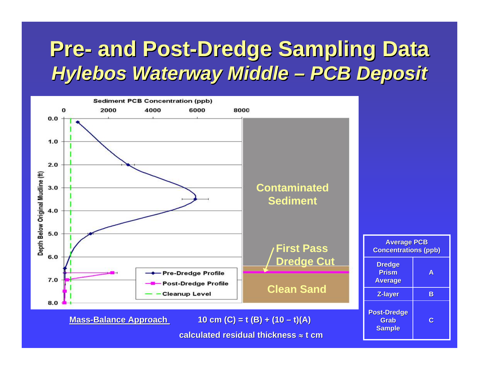### **Pre- and Post-Dredge Sampling Data** *Hylebos Hylebos Waterway Middle Waterway Middle – PCB Deposit PCB Deposit*

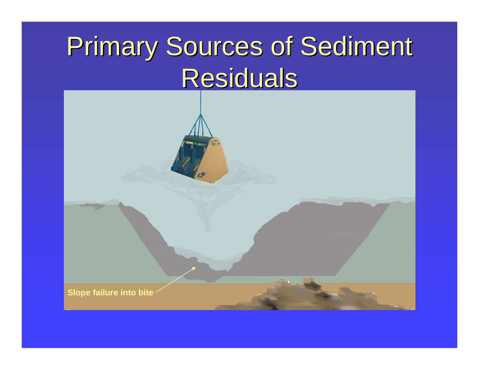# Primary Sources of Sediment Residuals

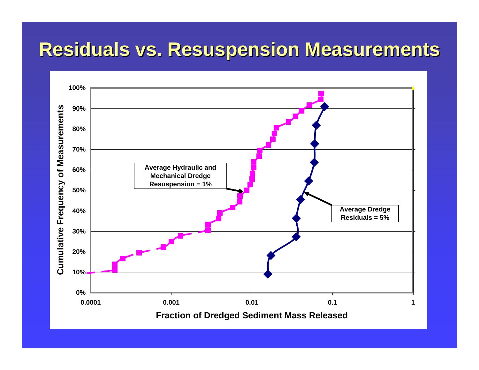### **Residuals vs. Resuspension Measurements Residuals vs. Resuspension Measurements**

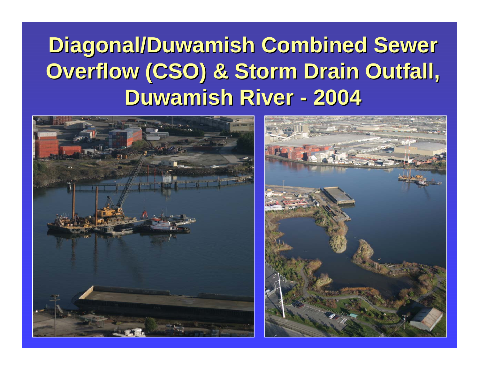#### **Diagonal/Duwamish Combined Sewer Overflow (CSO) & Storm Drain Outfall, Duwamish River -2004**



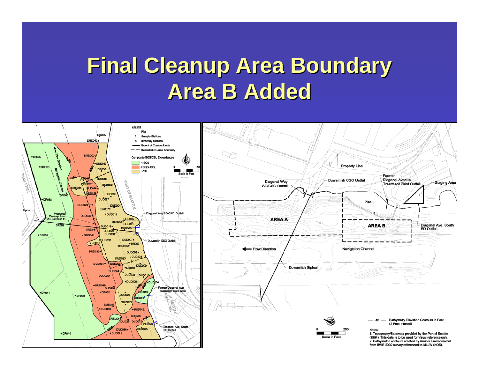### **Final Cleanup Area Boundary Area B Added Area B Added**

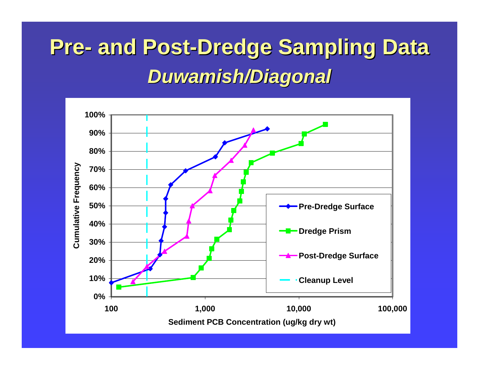## **Pre- and Post-Dredge Sampling Data** *Duwamish/Diagonal Duwamish/Diagonal*

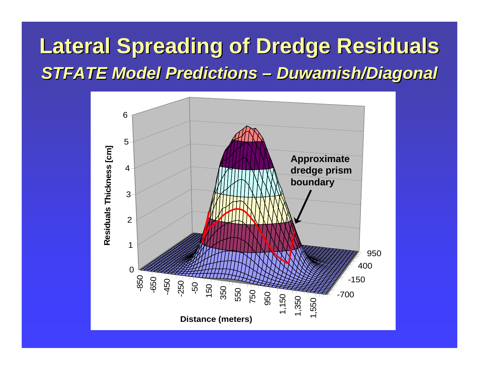#### **Lateral Spreading of Dredge Residuals Lateral Spreading of Dredge Residuals** *STFATE Model Predictions –Duwamish/Diagonal Duwamish/Diagonal*

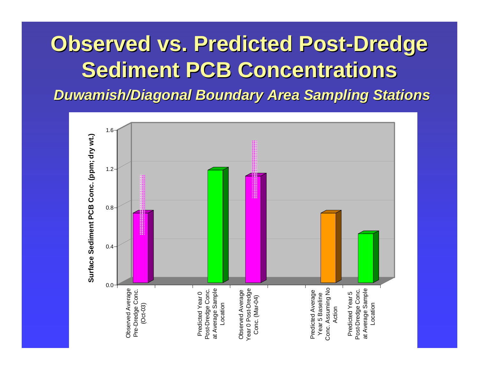### **Observed vs. Predicted Post Observed vs. Predicted Post -Dredge Sediment PCB Concentrations Sediment PCB Concentrations** *Duwamish/Diagonal Boundary Area Sampling Stations Duwamish/Diagonal Boundary Area Sampling Stations*

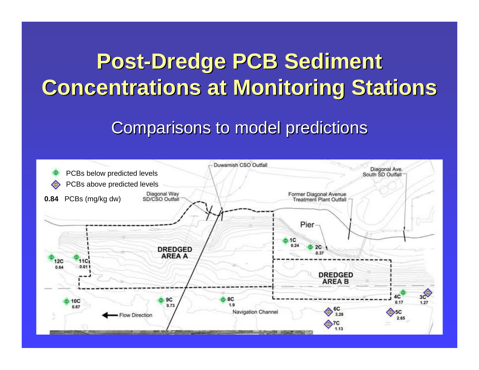### **Post-Dredge PCB Sediment Concentrations at Monitoring Stations**

#### Comparisons to model predictions

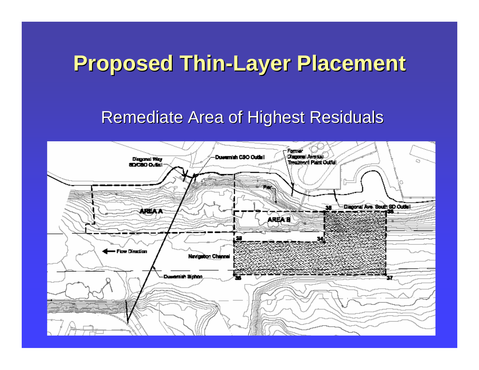### **Proposed Thin Proposed Thin -Layer Placement Layer Placement**

#### Remediate Area of Highest Residuals

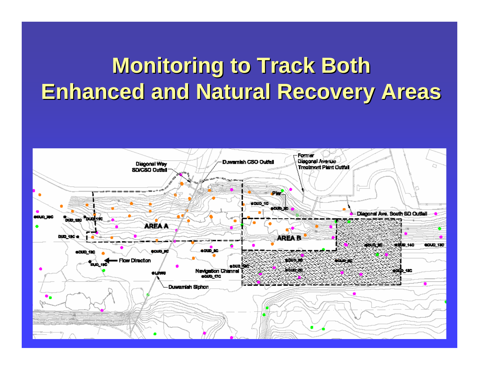### **Monitoring to Track Both Enhanced and Natural Recovery Areas Enhanced and Natural Recovery Areas**

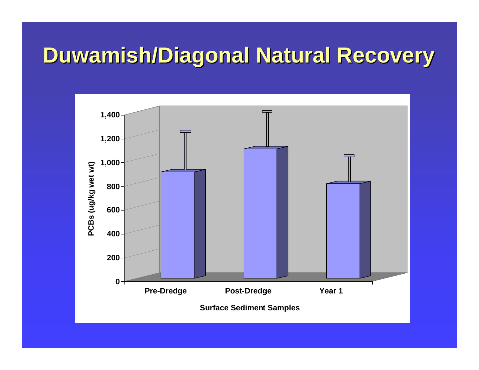### **Duwamish/Diagonal Natural Recovery Duwamish/Diagonal Natural Recovery**

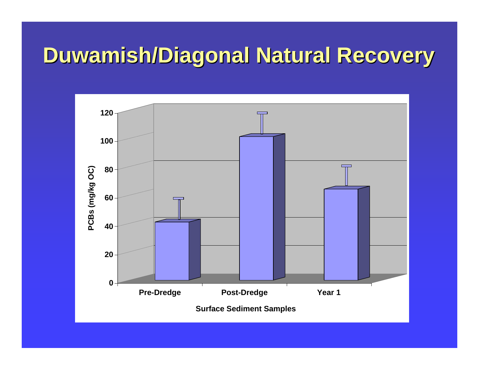### **Duwamish/Diagonal Natural Recovery Duwamish/Diagonal Natural Recovery**

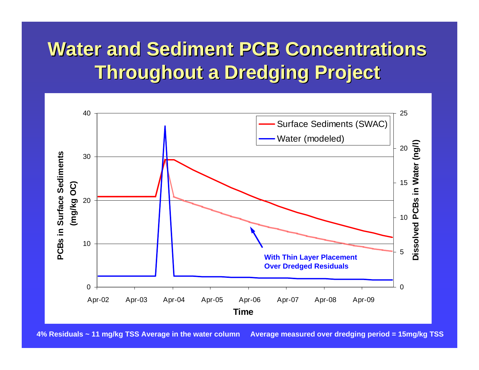### **Water and Sediment PCB Concentrations Throughout a Dredging Project Throughout a Dredging Project**



**4% Residuals ~ 11 mg/kg TSS Average in the water column Average measured over dredging period = 15mg/kg TSS**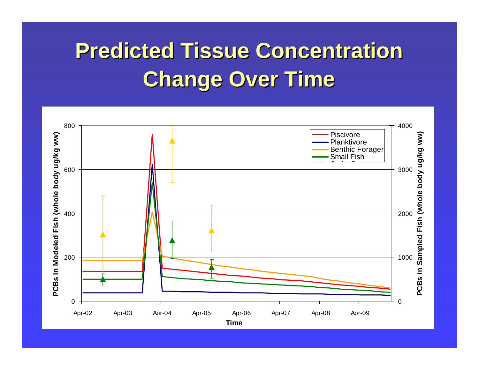## **Predicted Tissue Concentration Change Over Time Change Over Time**

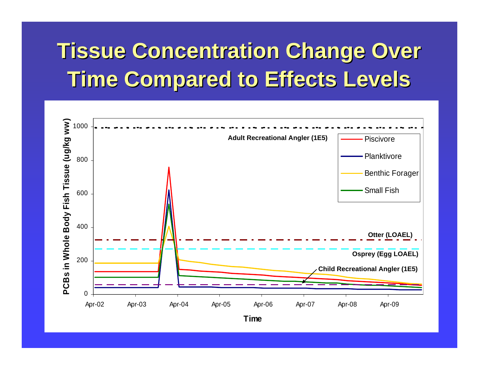### **Tissue Concentration Change Over Time Compared to Effects Levels Time Compared to Effects Levels**

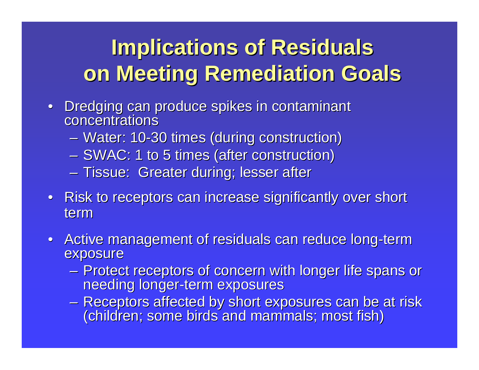### **Implications of Residuals on Meeting Remediation Goals on Meeting Remediation Goals**

- Dredging can produce spikes in contaminant<br>concentrations concentrations
	- Water: 10-30 times (during construction)
	- $-$  SWAC: 1 to 5 times (after construction)
	- –– Tissue: Greater during; lesser after
- Risk to receptors can increase significantly over short term
- Active management of residuals can reduce long-term exposure
	- Protect receptors of concern with longer life spans or<br>Protect receptors of concern with longer life spans or needing longer-term exposures
	- Receptors affected by short exposures can be at risk<br>(children; some birds and mammals; most fish)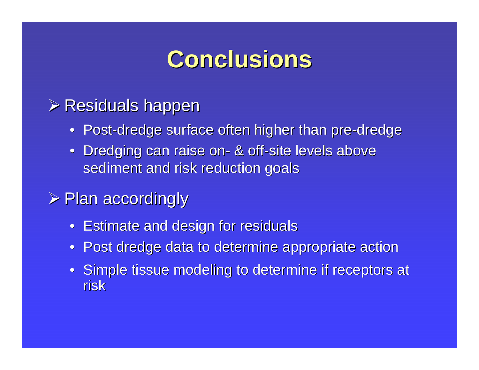### **Conclusions Conclusions**

#### $\triangleright$  Residuals happen

- Post-dredge surface often higher than pre-dredge
- Dredging can raise on- & off-site levels above sediment and risk reduction goals

#### $\triangleright$  Plan accordingly

- Estimate and design for residuals
- $\bullet~$  Post dredge data to determine appropriate action
- Simple tissue modeling to determine if receptors at risk